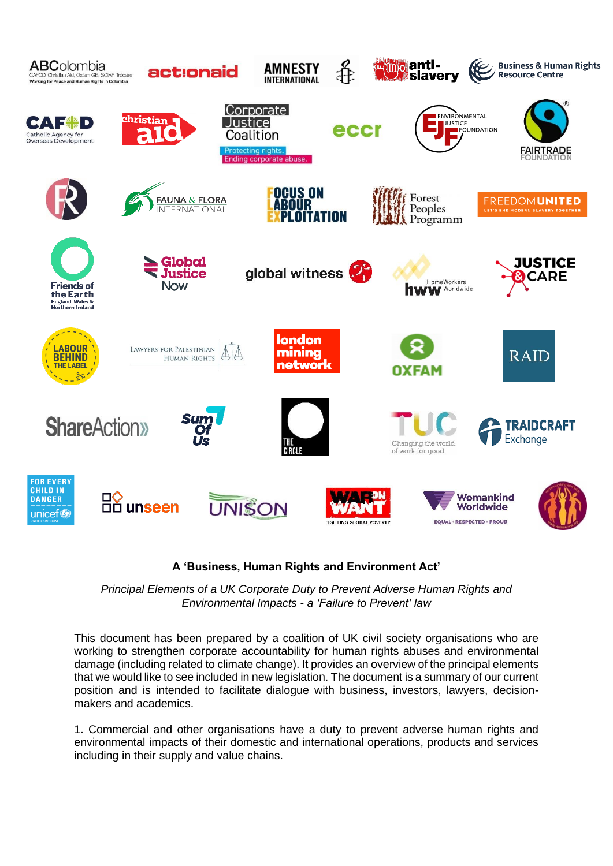

## **A 'Business, Human Rights and Environment Act'**

*Principal Elements of a UK Corporate Duty to Prevent Adverse Human Rights and Environmental Impacts - a 'Failure to Prevent' law*

This document has been prepared by a coalition of UK civil society organisations who are working to strengthen corporate accountability for human rights abuses and environmental damage (including related to climate change). It provides an overview of the principal elements that we would like to see included in new legislation. The document is a summary of our current position and is intended to facilitate dialogue with business, investors, lawyers, decisionmakers and academics.

1. Commercial and other organisations have a duty to prevent adverse human rights and environmental impacts of their domestic and international operations, products and services including in their supply and value chains.